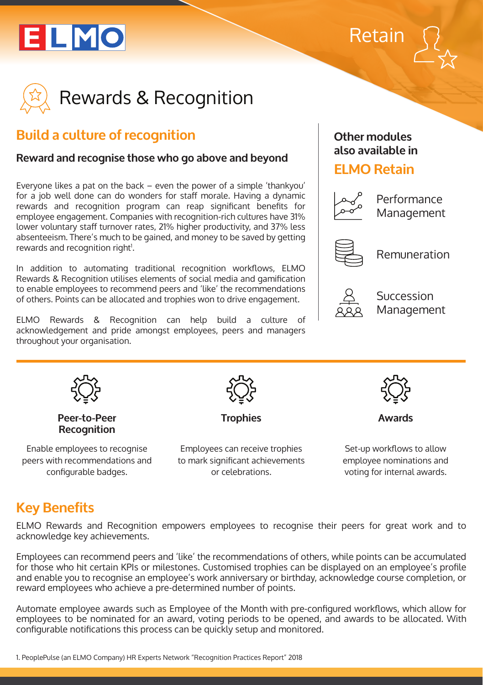





## **Build a culture of recognition**

#### **Reward and recognise those who go above and beyond**

Everyone likes a pat on the back – even the power of a simple 'thankyou' for a job well done can do wonders for staff morale. Having a dynamic rewards and recognition program can reap significant benefits for employee engagement. Companies with recognition-rich cultures have 31% lower voluntary staff turnover rates, 21% higher productivity, and 37% less absenteeism. There's much to be gained, and money to be saved by getting rewards and recognition right<sup>1</sup>.

In addition to automating traditional recognition workflows, ELMO Rewards & Recognition utilises elements of social media and gamification to enable employees to recommend peers and 'like' the recommendations of others. Points can be allocated and trophies won to drive engagement.

ELMO Rewards & Recognition can help build a culture of acknowledgement and pride amongst employees, peers and managers throughout your organisation.

#### **Other modules also available in**

### **ELMO Retain**



Performance Management



Remuneration



Succession Management



peers with recommendations and configurable badges.

to mark significant achievements or celebrations.

employee nominations and voting for internal awards.

## **Key Benefits**

ELMO Rewards and Recognition empowers employees to recognise their peers for great work and to acknowledge key achievements.

Employees can recommend peers and 'like' the recommendations of others, while points can be accumulated for those who hit certain KPIs or milestones. Customised trophies can be displayed on an employee's profile and enable you to recognise an employee's work anniversary or birthday, acknowledge course completion, or reward employees who achieve a pre-determined number of points.

Automate employee awards such as Employee of the Month with pre-configured workflows, which allow for employees to be nominated for an award, voting periods to be opened, and awards to be allocated. With configurable notifications this process can be quickly setup and monitored.